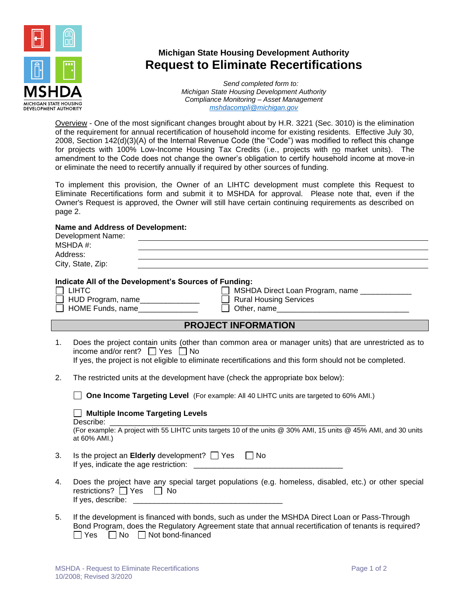

## **Michigan State Housing Development Authority Request to Eliminate Recertifications**

*Send completed form to: Michigan State Housing Development Authority Compliance Monitoring – Asset Management [mshdacompli@michigan.gov](mailto:mshdacompli@michigan.gov)*

Overview - One of the most significant changes brought about by H.R. 3221 (Sec. 3010) is the elimination of the requirement for annual recertification of household income for existing residents. Effective July 30, 2008, Section 142(d)(3)(A) of the Internal Revenue Code (the "Code") was modified to reflect this change for projects with 100% Low-Income Housing Tax Credits (i.e., projects with no market units). The amendment to the Code does not change the owner's obligation to certify household income at move-in or eliminate the need to recertify annually if required by other sources of funding.

To implement this provision, the Owner of an LIHTC development must complete this Request to Eliminate Recertifications form and submit it to MSHDA for approval. Please note that, even if the Owner's Request is approved, the Owner will still have certain continuing requirements as described on page 2.

## **Name and Address of Development:**

|    | Development Name:<br>MSHDA #:<br>Address:<br><u> 1989 - Johann Stoff, deutscher Stoffen und der Stoffen und der Stoffen und der Stoffen und der Stoffen und de</u><br>City, State, Zip:                                                                      |  |  |  |
|----|--------------------------------------------------------------------------------------------------------------------------------------------------------------------------------------------------------------------------------------------------------------|--|--|--|
|    | Indicate All of the Development's Sources of Funding:<br><b>LIHTC</b><br>MSHDA Direct Loan Program, name ____________<br>HUD Program, name<br><b>Rural Housing Services</b><br>HOME Funds, name<br>$\Box$ Other, name                                        |  |  |  |
|    | <b>PROJECT INFORMATION</b>                                                                                                                                                                                                                                   |  |  |  |
| 1. | Does the project contain units (other than common area or manager units) that are unrestricted as to<br>income and/or rent? $\Box$ Yes $\Box$ No<br>If yes, the project is not eligible to eliminate recertifications and this form should not be completed. |  |  |  |
| 2. | The restricted units at the development have (check the appropriate box below):                                                                                                                                                                              |  |  |  |
|    | One Income Targeting Level (For example: All 40 LIHTC units are targeted to 60% AMI.)<br><b>Multiple Income Targeting Levels</b>                                                                                                                             |  |  |  |
|    | Describe:<br>(For example: A project with 55 LIHTC units targets 10 of the units @ 30% AMI, 15 units @ 45% AMI, and 30 units<br>at 60% AMI.)                                                                                                                 |  |  |  |
| 3. | Is the project an <b>Elderly</b> development? $\Box$ Yes $\Box$ No                                                                                                                                                                                           |  |  |  |
| 4. | Does the project have any special target populations (e.g. homeless, disabled, etc.) or other special<br>restrictions? □ Yes □ No                                                                                                                            |  |  |  |
| 5. | If the development is financed with bonds, such as under the MSHDA Direct Loan or Pass-Through<br>Bond Program, does the Regulatory Agreement state that annual recertification of tenants is required?<br>$No \square$ Not bond-financed<br>Yes             |  |  |  |